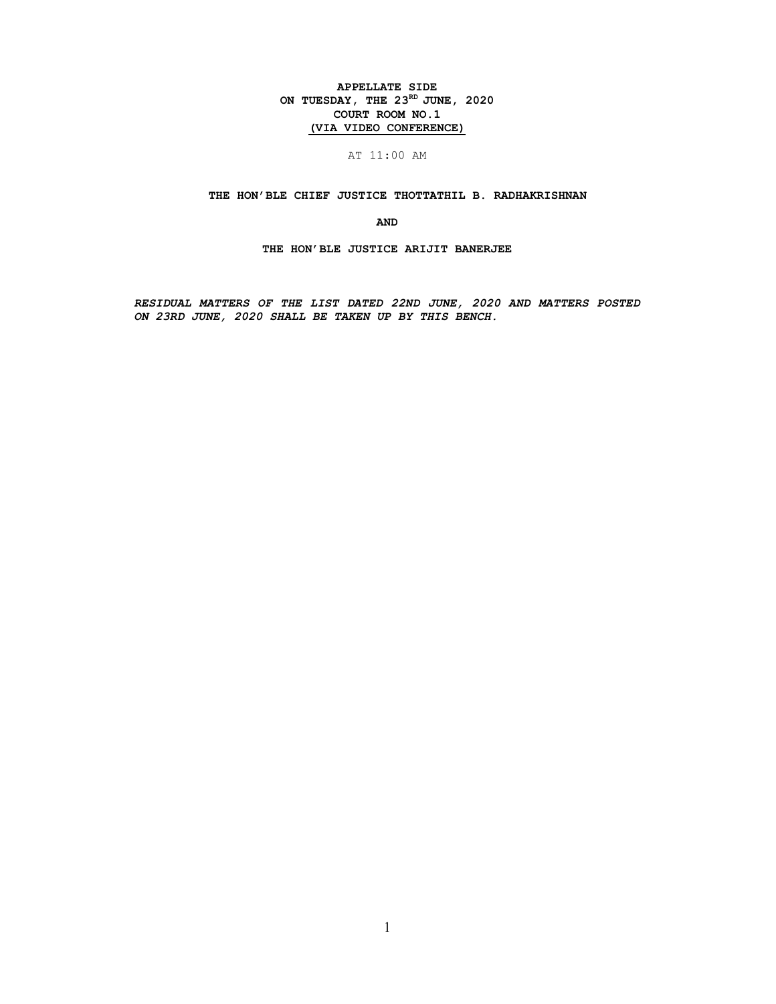## APPELLATE SIDE ON TUESDAY, THE  $23^{RD}$  JUNE, 2020 COURT ROOM NO.1 (VIA VIDEO CONFERENCE)

## AT 11:00 AM

## THE HON'BLE CHIEF JUSTICE THOTTATHIL B. RADHAKRISHNAN

AND

THE HON'BLE JUSTICE ARIJIT BANERJEE

RESIDUAL MATTERS OF THE LIST DATED 22ND JUNE, 2020 AND MATTERS POSTED ON 23RD JUNE, 2020 SHALL BE TAKEN UP BY THIS BENCH.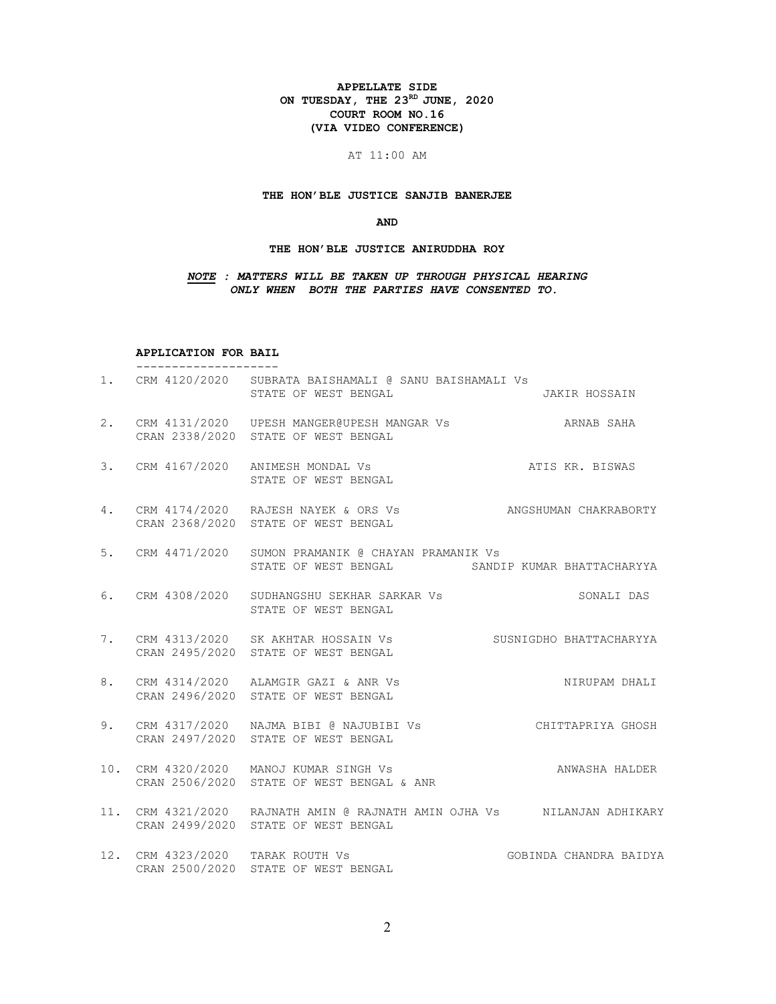#### APPELLATE SIDE ON TUESDAY, THE  $23^{RD}$  JUNE, 2020 COURT ROOM NO.16 (VIA VIDEO CONFERENCE)

## AT 11:00 AM

## THE HON'BLE JUSTICE SANJIB BANERJEE

## AND

## THE HON'BLE JUSTICE ANIRUDDHA ROY

## NOTE : MATTERS WILL BE TAKEN UP THROUGH PHYSICAL HEARING ONLY WHEN BOTH THE PARTIES HAVE CONSENTED TO.

#### APPLICATION FOR BAIL --------------------

|    | 1. CRM 4120/2020 SUBRATA BAISHAMALI @ SANU BAISHAMALI Vs<br>STATE OF WEST BENGAL                               | JAKIR HOSSAIN           |
|----|----------------------------------------------------------------------------------------------------------------|-------------------------|
|    | 2. CRM 4131/2020 UPESH MANGER@UPESH MANGAR Vs<br>CRAN 2338/2020 STATE OF WEST BENGAL                           | ARNAB SAHA              |
| 3. | CRM 4167/2020 ANIMESH MONDAL Vs<br>ATIS KR. BISWAS<br>STATE OF WEST BENGAL                                     |                         |
| 4. | CRM 4174/2020 RAJESH NAYEK & ORS Vs ANGSHUMAN CHAKRABORTY<br>CRAN 2368/2020 STATE OF WEST BENGAL               |                         |
|    | 5. CRM 4471/2020 SUMON PRAMANIK @ CHAYAN PRAMANIK Vs<br>STATE OF WEST BENGAL SANDIP KUMAR BHATTACHARYYA        |                         |
|    | 6. CRM 4308/2020 SUDHANGSHU SEKHAR SARKAR Vs<br>STATE OF WEST BENGAL                                           | SONALI DAS              |
|    | 7. CRM 4313/2020 SK AKHTAR HOSSAIN Vs<br>CRAN 2495/2020 STATE OF WEST BENGAL                                   | SUSNIGDHO BHATTACHARYYA |
| 8. | CRM 4314/2020 ALAMGIR GAZI & ANR Vs<br>CRAN 2496/2020 STATE OF WEST BENGAL                                     | NIRUPAM DHALI           |
| 9. | CRAN 2497/2020 STATE OF WEST BENGAL                                                                            |                         |
|    | 10. CRM 4320/2020 MANOJ KUMAR SINGH Vs<br>CRAN 2506/2020 STATE OF WEST BENGAL & ANR                            | ANWASHA HALDER          |
|    | 11. CRM 4321/2020 RAJNATH AMIN @ RAJNATH AMIN OJHA Vs MILANJAN ADHIKARY<br>CRAN 2499/2020 STATE OF WEST BENGAL |                         |
|    | 12. CRM 4323/2020 TARAK ROUTH Vs<br>CRAN 2500/2020 STATE OF WEST BENGAL                                        | GOBINDA CHANDRA BAIDYA  |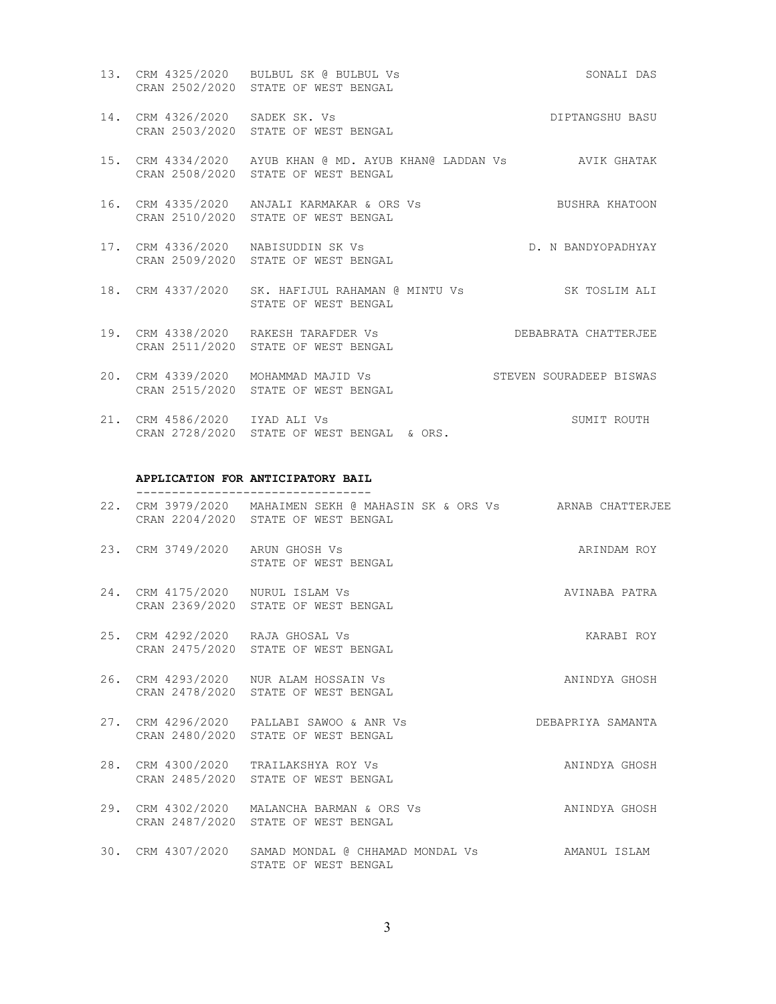- 13. CRM 4325/2020 BULBUL SK @ BULBUL Vs SONALI DAS CRAN 2502/2020 STATE OF WEST BENGAL
- 14. CRM 4326/2020 SADEK SK. Vs DIPTANGSHU BASU CRAN 2503/2020 STATE OF WEST BENGAL
- 15. CRM 4334/2020 AYUB KHAN @ MD. AYUB KHAN@ LADDAN Vs AVIK GHATAK CRAN 2508/2020 STATE OF WEST BENGAL
- 16. CRM 4335/2020 ANJALI KARMAKAR & ORS Vs BUSHRA KHATOON CRAN 2510/2020 STATE OF WEST BENGAL
- 17. CRM 4336/2020 NABISUDDIN SK Vs D. N BANDYOPADHYAY CRAN 2509/2020 STATE OF WEST BENGAL
- 18. CRM 4337/2020 SK. HAFIJUL RAHAMAN @ MINTU Vs SK TOSLIM ALI STATE OF WEST BENGAL
- 19. CRM 4338/2020 RAKESH TARAFDER Vs DEBABRATA CHATTERJEE CRAN 2511/2020 STATE OF WEST BENGAL
- 20. CRM 4339/2020 MOHAMMAD MAJID Vs STEVEN SOURADEEP BISWAS CRAN 2515/2020 STATE OF WEST BENGAL
- 21. CRM 4586/2020 IYAD ALI Vs SUMIT ROUTH CRAN 2728/2020 STATE OF WEST BENGAL & ORS.

#### APPLICATION FOR ANTICIPATORY BAIL ---------------------------------

- 22. CRM 3979/2020 MAHAIMEN SEKH @ MAHASIN SK & ORS Vs ARNAB CHATTERJEE CRAN 2204/2020 STATE OF WEST BENGAL
- 23. CRM 3749/2020 ARUN GHOSH Vs ARINDAM ROY STATE OF WEST BENGAL
- 24. CRM 4175/2020 NURUL ISLAM Vs AVINABA PATRA CRAN 2369/2020 STATE OF WEST BENGAL
- 25. CRM 4292/2020 RAJA GHOSAL Vs KARABI ROY CRAN 2475/2020 STATE OF WEST BENGAL
- 26. CRM 4293/2020 NUR ALAM HOSSAIN Vs ANINDYA GHOSH CRAN 2478/2020 STATE OF WEST BENGAL
- 27. CRM 4296/2020 PALLABI SAWOO & ANR Vs DEBAPRIYA SAMANTA CRAN 2480/2020 STATE OF WEST BENGAL
- 28. CRM 4300/2020 TRAILAKSHYA ROY Vs ANINDYA GHOSH CRAN 2485/2020 STATE OF WEST BENGAL
- 29. CRM 4302/2020 MALANCHA BARMAN & ORS Vs ANINDYA GHOSH CRAN 2487/2020 STATE OF WEST BENGAL
- 30. CRM 4307/2020 SAMAD MONDAL @ CHHAMAD MONDAL Vs AMANUL ISLAM STATE OF WEST BENGAL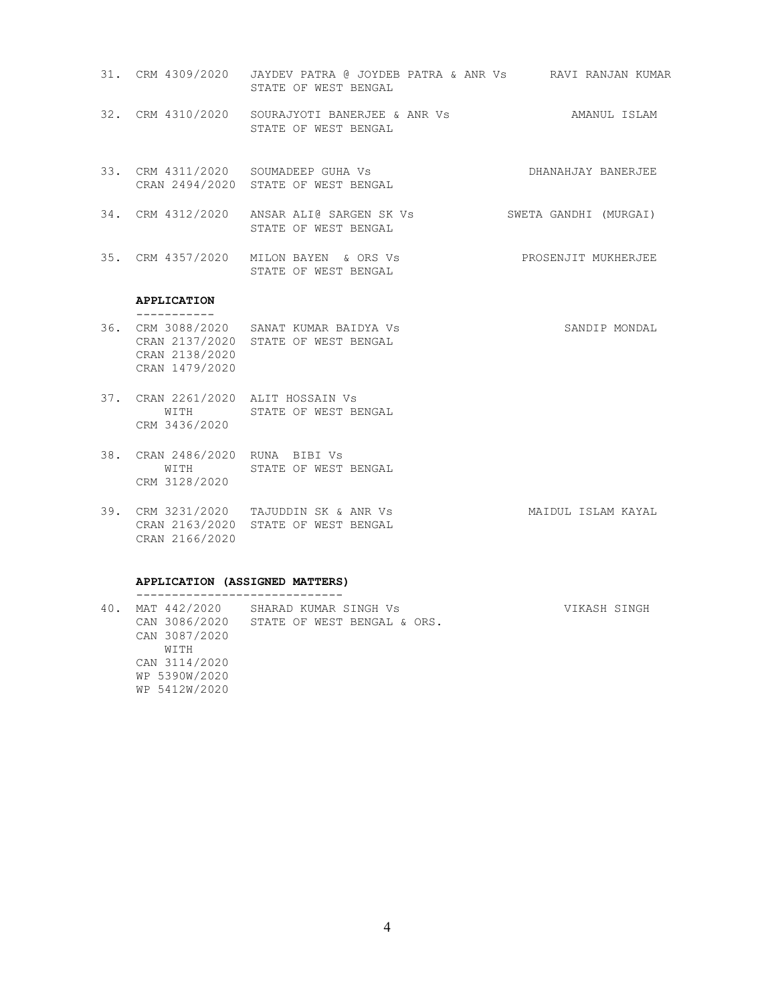- 31. CRM 4309/2020 JAYDEV PATRA @ JOYDEB PATRA & ANR Vs RAVI RANJAN KUMAR STATE OF WEST BENGAL
- 32. CRM 4310/2020 SOURAJYOTI BANERJEE & ANR Vs **AMANUL ISLAM** STATE OF WEST BENGAL
- 33. CRM 4311/2020 SOUMADEEP GUHA Vs DHANAHJAY BANERJEE CRAN 2494/2020 STATE OF WEST BENGAL
- 34. CRM 4312/2020 ANSAR ALI@ SARGEN SK Vs SWETA GANDHI (MURGAI) STATE OF WEST BENGAL
- 35. CRM 4357/2020 MILON BAYEN & ORS Vs PROSENJIT MUKHERJEE STATE OF WEST BENGAL

#### APPLICATION -----------

- 36. CRM 3088/2020 SANAT KUMAR BAIDYA Vs SANDIP MONDAL CRAN 2137/2020 STATE OF WEST BENGAL CRAN 2138/2020 CRAN 1479/2020
- 37. CRAN 2261/2020 ALIT HOSSAIN Vs WITH STATE OF WEST BENGAL CRM 3436/2020
- 38. CRAN 2486/2020 RUNA BIBI Vs WITH STATE OF WEST BENGAL CRM 3128/2020
- 39. CRM 3231/2020 TAJUDDIN SK & ANR Vs MAIDUL ISLAM KAYAL CRAN 2163/2020 STATE OF WEST BENGAL CRAN 2166/2020

#### APPLICATION (ASSIGNED MATTERS) -----------------------------

40. MAT 442/2020 SHARAD KUMAR SINGH Vs VIKASH SINGH CAN 3086/2020 STATE OF WEST BENGAL & ORS. CAN 3087/2020 WITH CAN 3114/2020 WP 5390W/2020 WP 5412W/2020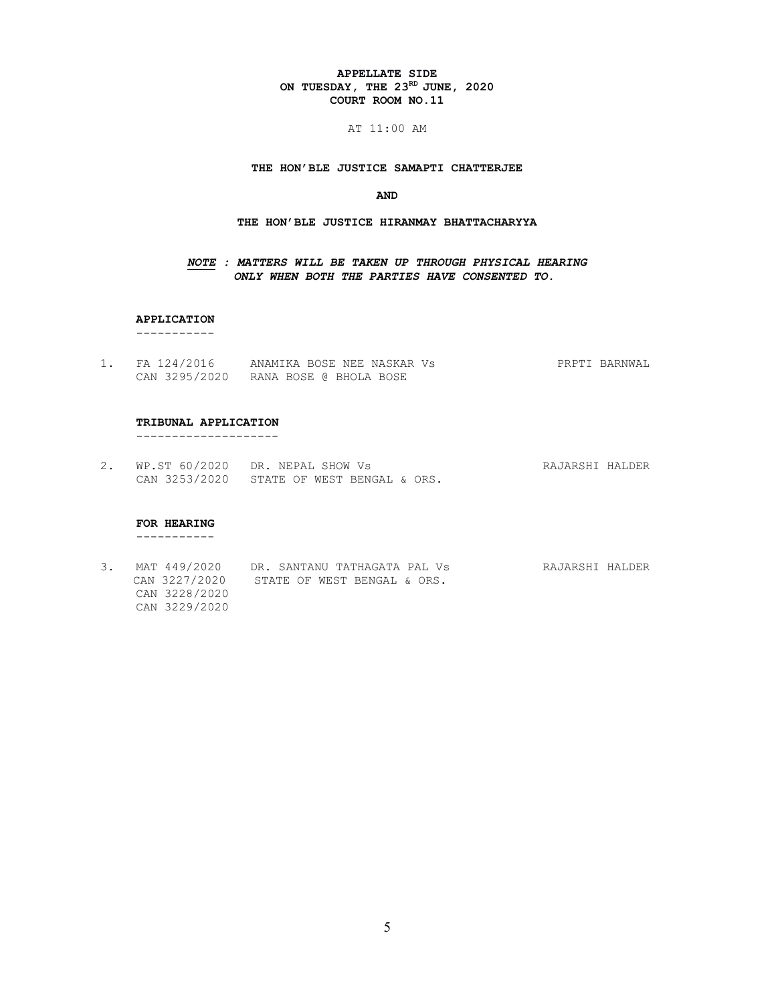#### APPELLATE SIDE ON TUESDAY, THE  $23^{RD}$  JUNE, 2020 COURT ROOM NO.11

AT 11:00 AM

THE HON'BLE JUSTICE SAMAPTI CHATTERJEE

#### AND

#### THE HON'BLE JUSTICE HIRANMAY BHATTACHARYYA

## NOTE : MATTERS WILL BE TAKEN UP THROUGH PHYSICAL HEARING ONLY WHEN BOTH THE PARTIES HAVE CONSENTED TO.

## APPLICATION

-----------

1. FA 124/2016 ANAMIKA BOSE NEE NASKAR Vs PRPTI BARNWAL CAN 3295/2020 RANA BOSE @ BHOLA BOSE

#### TRIBUNAL APPLICATION

--------------------

2. WP.ST 60/2020 DR. NEPAL SHOW Vs **RAJARSHI HALDER** CAN 3253/2020 STATE OF WEST BENGAL & ORS.

## FOR HEARING

-----------

3. MAT 449/2020 DR. SANTANU TATHAGATA PAL Vs RAJARSHI HALDER CAN 3227/2020 STATE OF WEST BENGAL & ORS. CAN 3228/2020 CAN 3229/2020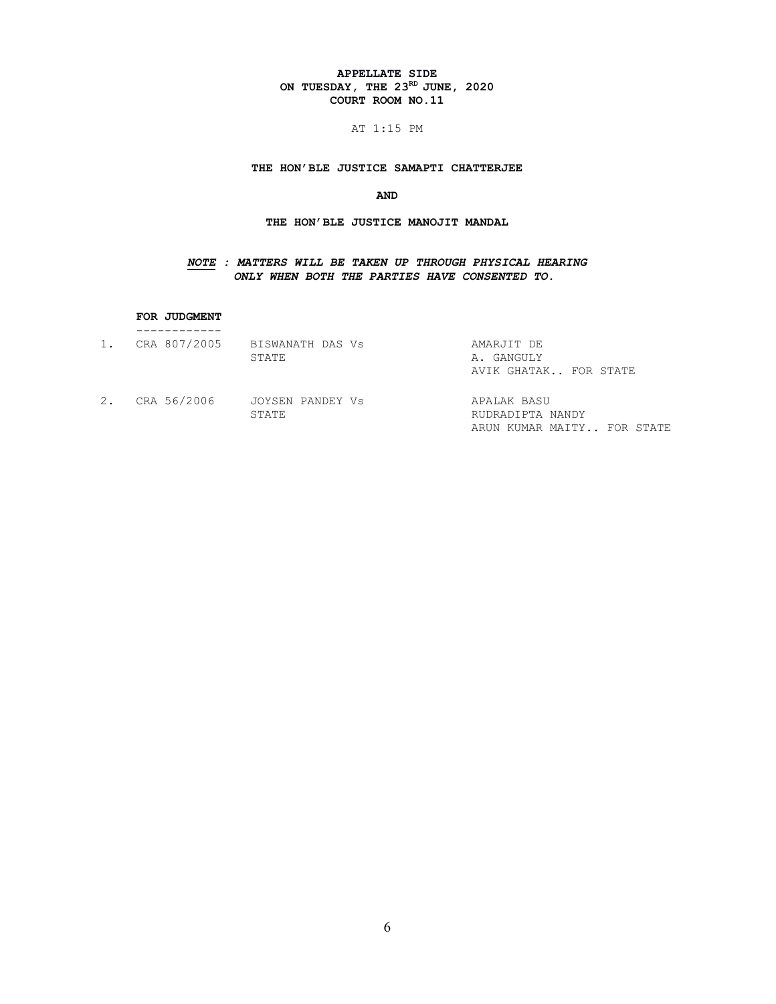## APPELLATE SIDE ON TUESDAY, THE  $23^{RD}$  JUNE, 2020 COURT ROOM NO.11

## AT 1:15 PM

## THE HON'BLE JUSTICE SAMAPTI CHATTERJEE

# AND

# THE HON'BLE JUSTICE MANOJIT MANDAL

# NOTE : MATTERS WILL BE TAKEN UP THROUGH PHYSICAL HEARING ONLY WHEN BOTH THE PARTIES HAVE CONSENTED TO.

#### FOR JUDGMENT

| 1. | CRA 807/2005 | BISWANATH DAS Vs | AMARJIT DE                 |
|----|--------------|------------------|----------------------------|
|    |              | STATE            | A. GANGULY                 |
|    |              |                  | AVIK GHATAK FOR STATE      |
| 2. | CRA 56/2006  | JOYSEN PANDEY Vs | APALAK BASU                |
|    |              | STATE            | RUDRADIPTA NANDY           |
|    |              |                  | ARUN KUMAR MAITY FOR STATE |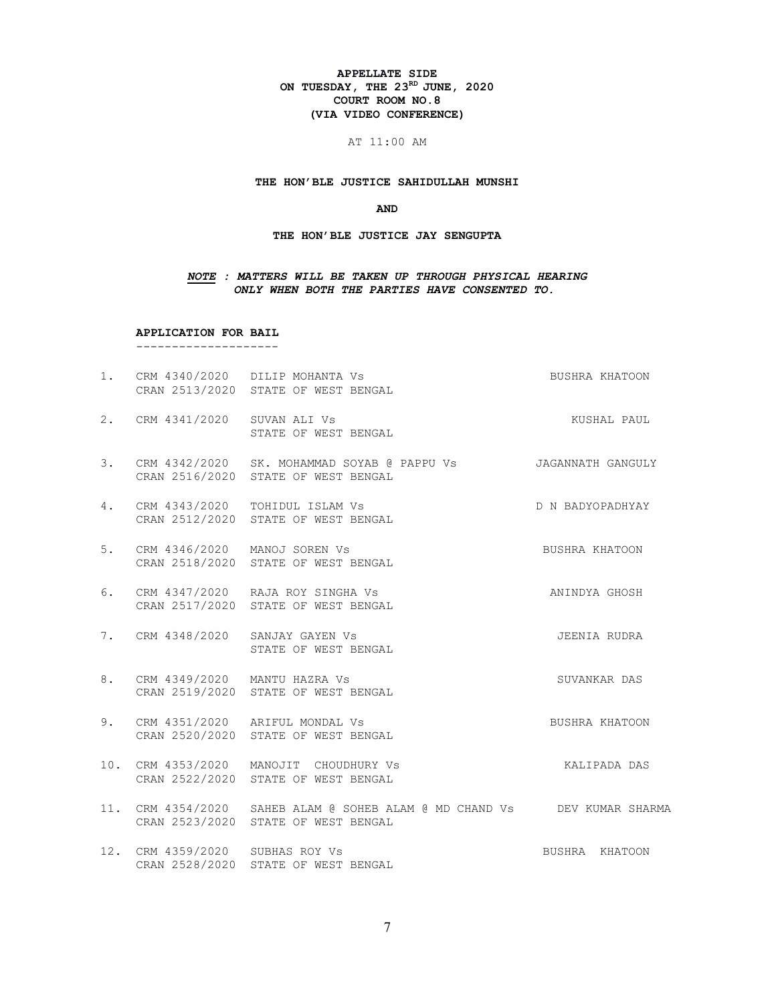#### APPELLATE SIDE ON TUESDAY, THE  $23^{RD}$  JUNE, 2020 COURT ROOM NO.8 (VIA VIDEO CONFERENCE)

#### AT 11:00 AM

#### THE HON'BLE JUSTICE SAHIDULLAH MUNSHI

#### AND

#### THE HON'BLE JUSTICE JAY SENGUPTA

#### NOTE : MATTERS WILL BE TAKEN UP THROUGH PHYSICAL HEARING ONLY WHEN BOTH THE PARTIES HAVE CONSENTED TO.

APPLICATION FOR BAIL

--------------------

1. CRM 4340/2020 DILIP MOHANTA Vs BUSHRA KHATOON CRAN 2513/2020 STATE OF WEST BENGAL 2. CRM 4341/2020 SUVAN ALI Vs **KUSHAL PAUL**  STATE OF WEST BENGAL 3. CRM 4342/2020 SK. MOHAMMAD SOYAB @ PAPPU Vs JAGANNATH GANGULY CRAN 2516/2020 STATE OF WEST BENGAL 4. CRM 4343/2020 TOHIDUL ISLAM Vs D N BADYOPADHYAY CRAN 2512/2020 STATE OF WEST BENGAL 5. CRM 4346/2020 MANOJ SOREN Vs BUSHRA KHATOON CRAN 2518/2020 STATE OF WEST BENGAL 6. CRM 4347/2020 RAJA ROY SINGHA Vs ANINDYA GHOSH CRAN 2517/2020 STATE OF WEST BENGAL 7. CRM 4348/2020 SANJAY GAYEN Vs 300 SEENIA RUDRA STATE OF WEST BENGAL 8. CRM 4349/2020 MANTU HAZRA Vs SUVANKAR DAS CRAN 2519/2020 STATE OF WEST BENGAL 9. CRM 4351/2020 ARIFUL MONDAL Vs **BUSHRA KHATOON**  CRAN 2520/2020 STATE OF WEST BENGAL 10. CRM 4353/2020 MANOJIT CHOUDHURY Vs KALIPADA DAS CRAN 2522/2020 STATE OF WEST BENGAL 11. CRM 4354/2020 SAHEB ALAM @ SOHEB ALAM @ MD CHAND Vs DEV KUMAR SHARMA CRAN 2523/2020 STATE OF WEST BENGAL 12. CRM 4359/2020 SUBHAS ROY Vs BUSHRA KHATOON CRAN 2528/2020 STATE OF WEST BENGAL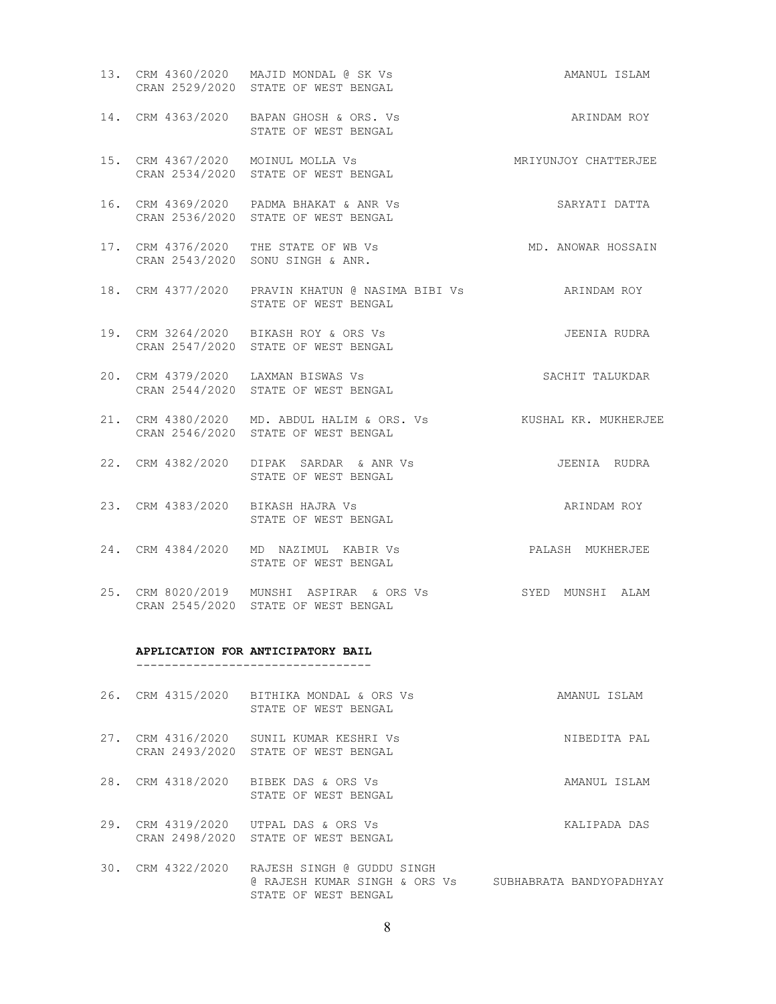- 13. CRM 4360/2020 MAJID MONDAL @ SK Vs AMANUL ISLAM CRAN 2529/2020 STATE OF WEST BENGAL 14. CRM 4363/2020 BAPAN GHOSH & ORS. Vs ARINDAM ROY STATE OF WEST BENGAL 15. CRM 4367/2020 MOINUL MOLLA Vs MRIYUNJOY CHATTERJEE CRAN 2534/2020 STATE OF WEST BENGAL 16. CRM 4369/2020 PADMA BHAKAT & ANR Vs SARYATI DATTA CRAN 2536/2020 STATE OF WEST BENGAL
- 17. CRM 4376/2020 THE STATE OF WB Vs MD. ANOWAR HOSSAIN CRAN 2543/2020 SONU SINGH & ANR.
- 18. CRM 4377/2020 PRAVIN KHATUN @ NASIMA BIBI Vs ARINDAM ROY STATE OF WEST BENGAL
- 19. CRM 3264/2020 BIKASH ROY & ORS Vs 300 STEENIA RUDRA CRAN 2547/2020 STATE OF WEST BENGAL
- 20. CRM 4379/2020 LAXMAN BISWAS Vs SACHIT TALUKDAR CRAN 2544/2020 STATE OF WEST BENGAL
- 21. CRM 4380/2020 MD. ABDUL HALIM & ORS. Vs KUSHAL KR. MUKHERJEE CRAN 2546/2020 STATE OF WEST BENGAL
- 22. CRM 4382/2020 DIPAK SARDAR & ANR Vs JEENIA RUDRA STATE OF WEST BENGAL
- 23. CRM 4383/2020 BIKASH HAJRA Vs ARINDAM ROY STATE OF WEST BENGAL
- 24. CRM 4384/2020 MD NAZIMUL KABIR Vs PALASH MUKHERJEE STATE OF WEST BENGAL
- 25. CRM 8020/2019 MUNSHI ASPIRAR & ORS Vs SYED MUNSHI ALAM CRAN 2545/2020 STATE OF WEST BENGAL

#### APPLICATION FOR ANTICIPATORY BAIL

---------------------------------

- 26. CRM 4315/2020 BITHIKA MONDAL & ORS Vs AMANUL ISLAM STATE OF WEST BENGAL
- 27. CRM 4316/2020 SUNIL KUMAR KESHRI Vs NIBEDITA PAL CRAN 2493/2020 STATE OF WEST BENGAL
- 28. CRM 4318/2020 BIBEK DAS & ORS Vs AMANUL ISLAM STATE OF WEST BENGAL
- 29. CRM 4319/2020 UTPAL DAS & ORS Vs KALIPADA DAS CRAN 2498/2020 STATE OF WEST BENGAL
- 30. CRM 4322/2020 RAJESH SINGH @ GUDDU SINGH @ RAJESH KUMAR SINGH & ORS Vs SUBHABRATA BANDYOPADHYAY STATE OF WEST BENGAL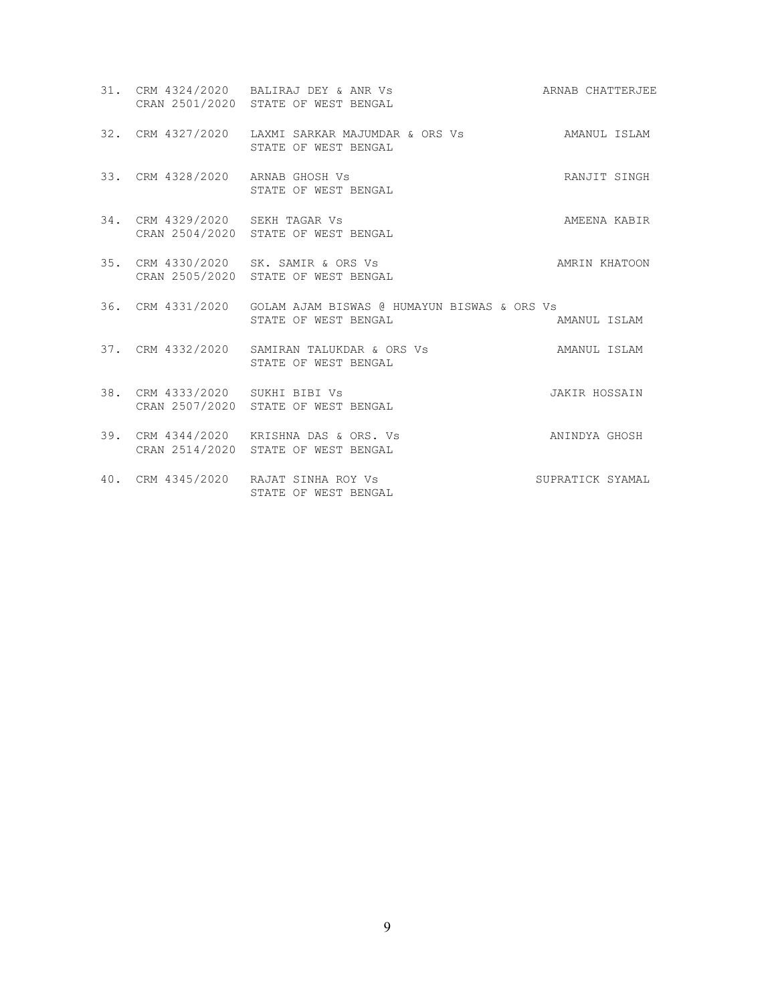|                                  | 31. CRM 4324/2020 BALIRAJ DEY & ANR Vs<br>CRAN 2501/2020 STATE OF WEST BENGAL         | ARNAB CHATTERJEE |
|----------------------------------|---------------------------------------------------------------------------------------|------------------|
|                                  | 32. CRM 4327/2020 LAXMI SARKAR MAJUMDAR & ORS Vs AMANUL ISLAM<br>STATE OF WEST BENGAL |                  |
| 33. CRM 4328/2020 ARNAB GHOSH Vs | STATE OF WEST BENGAL                                                                  | RANJIT SINGH     |
| 34. CRM 4329/2020 SEKH TAGAR Vs  | CRAN 2504/2020 STATE OF WEST BENGAL                                                   | AMEENA KABIR     |
|                                  | 35. CRM 4330/2020 SK. SAMIR & ORS Vs<br>CRAN 2505/2020 STATE OF WEST BENGAL           | AMRIN KHATOON    |
|                                  | 36. CRM 4331/2020 GOLAM AJAM BISWAS @ HUMAYUN BISWAS & ORS Vs<br>STATE OF WEST BENGAL | AMANUL ISLAM     |
|                                  | 37. CRM 4332/2020 SAMIRAN TALUKDAR & ORS Vs<br>STATE OF WEST BENGAL                   | AMANUL ISLAM     |
| 38. CRM 4333/2020 SUKHI BIBI Vs  | CRAN 2507/2020 STATE OF WEST BENGAL                                                   | JAKIR HOSSAIN    |
|                                  | 39. CRM 4344/2020 KRISHNA DAS & ORS. Vs<br>CRAN 2514/2020 STATE OF WEST BENGAL        | ANINDYA GHOSH    |
|                                  | 40. CRM 4345/2020 RAJAT SINHA ROY Vs<br>STATE OF WEST BENGAL                          | SUPRATICK SYAMAL |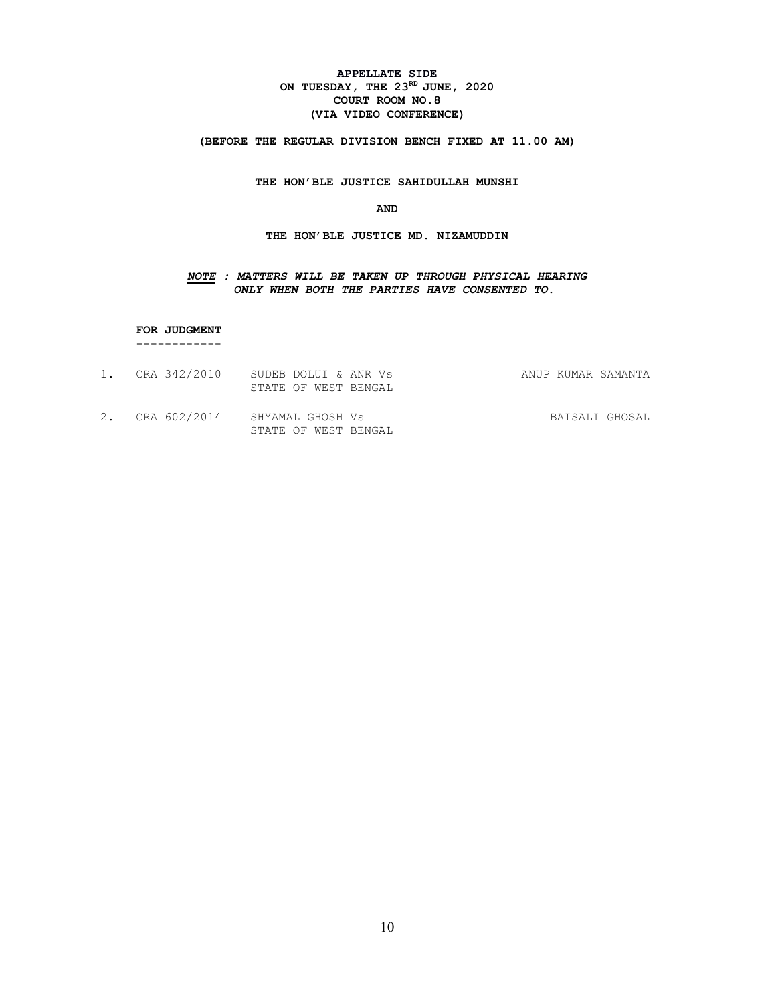## APPELLATE SIDE ON TUESDAY, THE  $23^{RD}$  JUNE, 2020 COURT ROOM NO.8 (VIA VIDEO CONFERENCE)

(BEFORE THE REGULAR DIVISION BENCH FIXED AT 11.00 AM)

THE HON'BLE JUSTICE SAHIDULLAH MUNSHI

AND

THE HON'BLE JUSTICE MD. NIZAMUDDIN

## NOTE : MATTERS WILL BE TAKEN UP THROUGH PHYSICAL HEARING ONLY WHEN BOTH THE PARTIES HAVE CONSENTED TO.

 FOR JUDGMENT ------------

- 1. CRA 342/2010 SUDEB DOLUI & ANR Vs ANUP KUMAR SAMANTA STATE OF WEST BENGAL
- 2. CRA 602/2014 SHYAMAL GHOSH Vs BAISALI GHOSAL STATE OF WEST BENGAL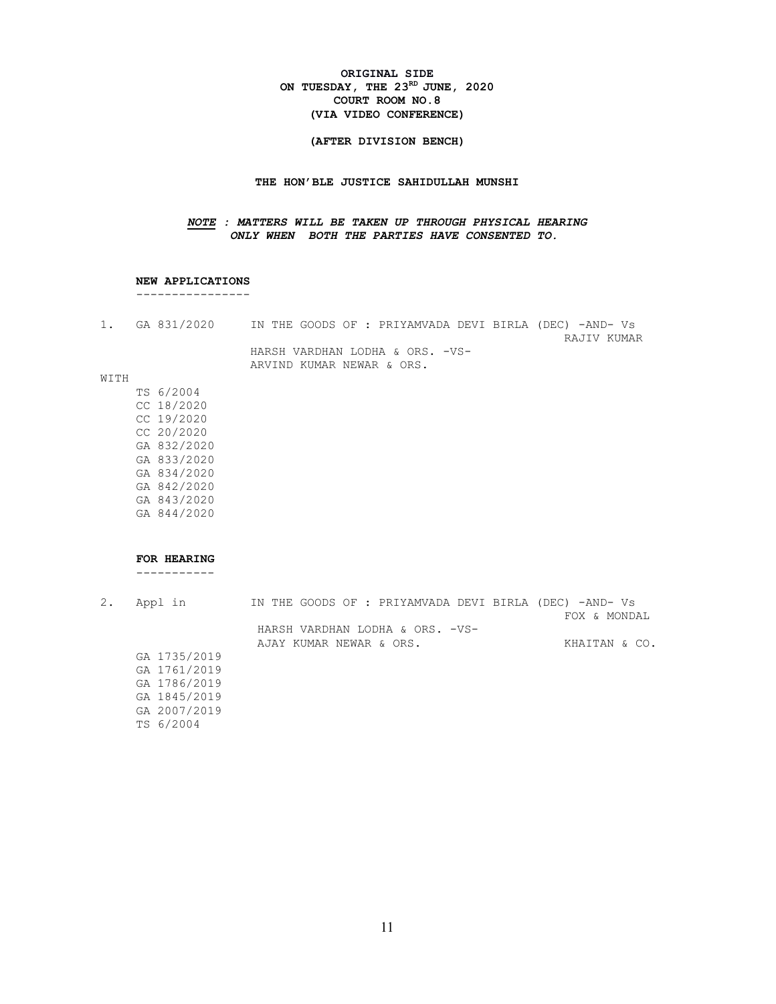#### ORIGINAL SIDE ON TUESDAY, THE  $23^{RD}$  JUNE, 2020 COURT ROOM NO.8 (VIA VIDEO CONFERENCE)

#### (AFTER DIVISION BENCH)

#### THE HON'BLE JUSTICE SAHIDULLAH MUNSHI

## NOTE : MATTERS WILL BE TAKEN UP THROUGH PHYSICAL HEARING ONLY WHEN BOTH THE PARTIES HAVE CONSENTED TO.

#### NEW APPLICATIONS

----------------

| 1. GA 831/2020 | IN THE GOODS OF : PRIYAMVADA DEVI BIRLA (DEC) -AND- Vs |             |
|----------------|--------------------------------------------------------|-------------|
|                |                                                        | RAJIV KUMAR |
|                | HARSH VARDHAN LODHA & ORS. -VS-                        |             |
|                | ARVIND KUMAR NEWAR & ORS.                              |             |

#### WITH

 TS 6/2004 CC 18/2020 CC 19/2020 CC 20/2020 GA 832/2020 GA 833/2020 GA 834/2020 GA 842/2020 GA 843/2020 GA 844/2020

#### FOR HEARING

-----------

| 2. | Appl in      | IN THE GOODS OF : PRIYAMVADA DEVI BIRLA (DEC) -AND- Vs | FOX & MONDAL  |
|----|--------------|--------------------------------------------------------|---------------|
|    |              | HARSH VARDHAN LODHA & ORS. -VS-                        |               |
|    |              | AJAY KUMAR NEWAR & ORS.                                | KHAITAN & CO. |
|    | GA 1735/2019 |                                                        |               |
|    | GA 1761/2019 |                                                        |               |
|    | GA 1786/2019 |                                                        |               |
|    | GA 1845/2019 |                                                        |               |
|    | GA 2007/2019 |                                                        |               |
|    | TS 6/2004    |                                                        |               |
|    |              |                                                        |               |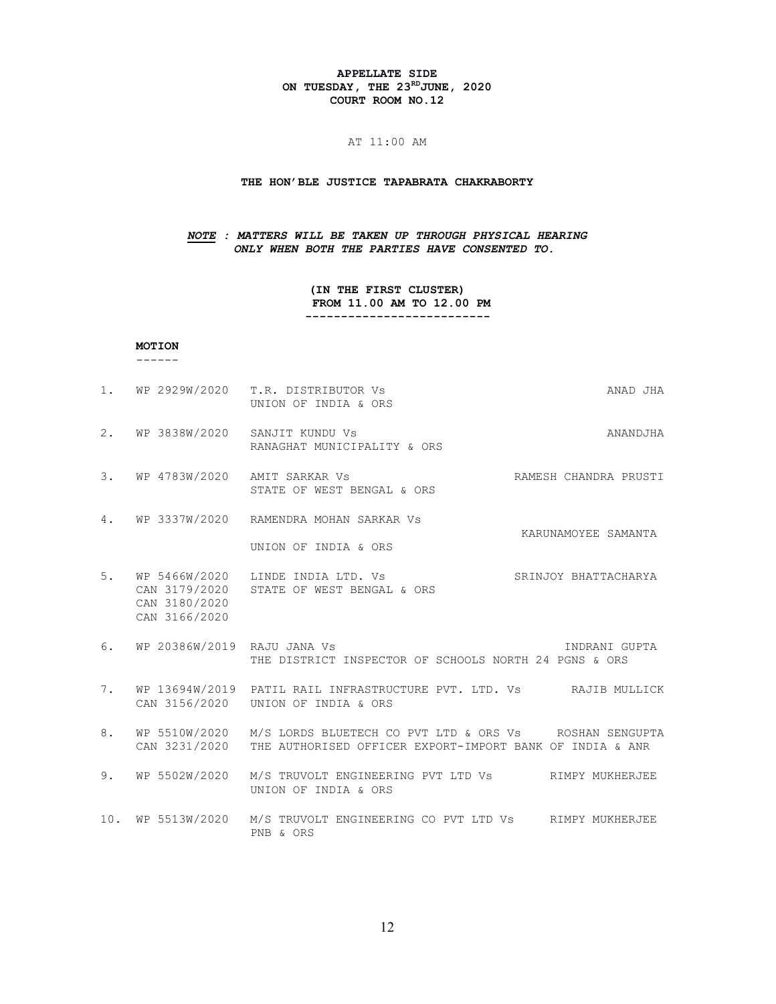#### APPELLATE SIDE ON TUESDAY, THE 23RD JUNE, 2020 COURT ROOM NO.12

#### AT 11:00 AM

#### THE HON'BLE JUSTICE TAPABRATA CHAKRABORTY

## NOTE : MATTERS WILL BE TAKEN UP THROUGH PHYSICAL HEARING ONLY WHEN BOTH THE PARTIES HAVE CONSENTED TO.

(IN THE FIRST CLUSTER) FROM 11.00 AM TO 12.00 PM --------------------------

#### MOTION

------

- 1. WP 2929W/2020 T.R. DISTRIBUTOR Vs ANAD JHA UNION OF INDIA & ORS
- 2. WP 3838W/2020 SANJIT KUNDU Vs ANANDJHA RANAGHAT MUNICIPALITY & ORS
- 3. WP 4783W/2020 AMIT SARKAR Vs RAMESH CHANDRA PRUSTI STATE OF WEST BENGAL & ORS
- 4. WP 3337W/2020 RAMENDRA MOHAN SARKAR Vs KARUNAMOYEE SAMANTA UNION OF INDIA & ORS
- 5. WP 5466W/2020 LINDE INDIA LTD. Vs SRINJOY BHATTACHARYA CAN 3179/2020 STATE OF WEST BENGAL & ORS CAN 3180/2020 CAN 3166/2020
- 6. WP 20386W/2019 RAJU JANA Vs INDRANI GUPTA THE DISTRICT INSPECTOR OF SCHOOLS NORTH 24 PGNS & ORS
- 7. WP 13694W/2019 PATIL RAIL INFRASTRUCTURE PVT. LTD. Vs RAJIB MULLICK CAN 3156/2020 UNION OF INDIA & ORS
- 8. WP 5510W/2020 M/S LORDS BLUETECH CO PVT LTD & ORS Vs ROSHAN SENGUPTA CAN 3231/2020 THE AUTHORISED OFFICER EXPORT-IMPORT BANK OF INDIA & ANR
- 9. WP 5502W/2020 M/S TRUVOLT ENGINEERING PVT LTD Vs RIMPY MUKHERJEE UNION OF INDIA & ORS
- 10. WP 5513W/2020 M/S TRUVOLT ENGINEERING CO PVT LTD Vs RIMPY MUKHERJEE PNB & ORS

12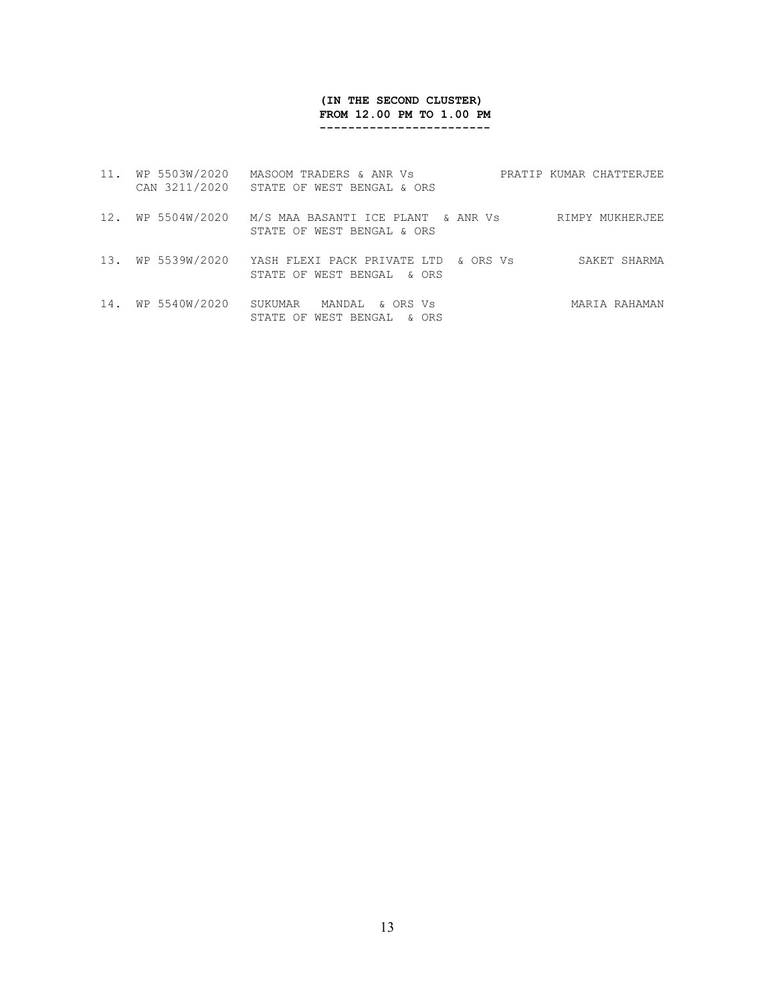## (IN THE SECOND CLUSTER) FROM 12.00 PM TO 1.00 PM ------------------------

| 11. | WP 5503W/2020<br>CAN 3211/2020 | MASOOM TRADERS & ANR Vs<br>STATE OF WEST BENGAL & ORS                | PRATIP KUMAR CHATTERJEE |
|-----|--------------------------------|----------------------------------------------------------------------|-------------------------|
| 12. | WP 5504W/2020                  | M/S MAA BASANTI ICE PLANT & ANR Vs<br>STATE OF WEST BENGAL & ORS     | RIMPY MUKHERJEE         |
| 13. | WP 5539W/2020                  | YASH FLEXI PACK PRIVATE LTD & ORS Vs<br>STATE OF WEST BENGAL & ORS   | SAKET SHARMA            |
| 14. | WP 5540W/2020                  | SUKUMAR<br>MANDAL<br>& ORS Vs<br>WEST BENGAL<br>STATE<br>OF<br>& ORS | MARIA RAHAMAN           |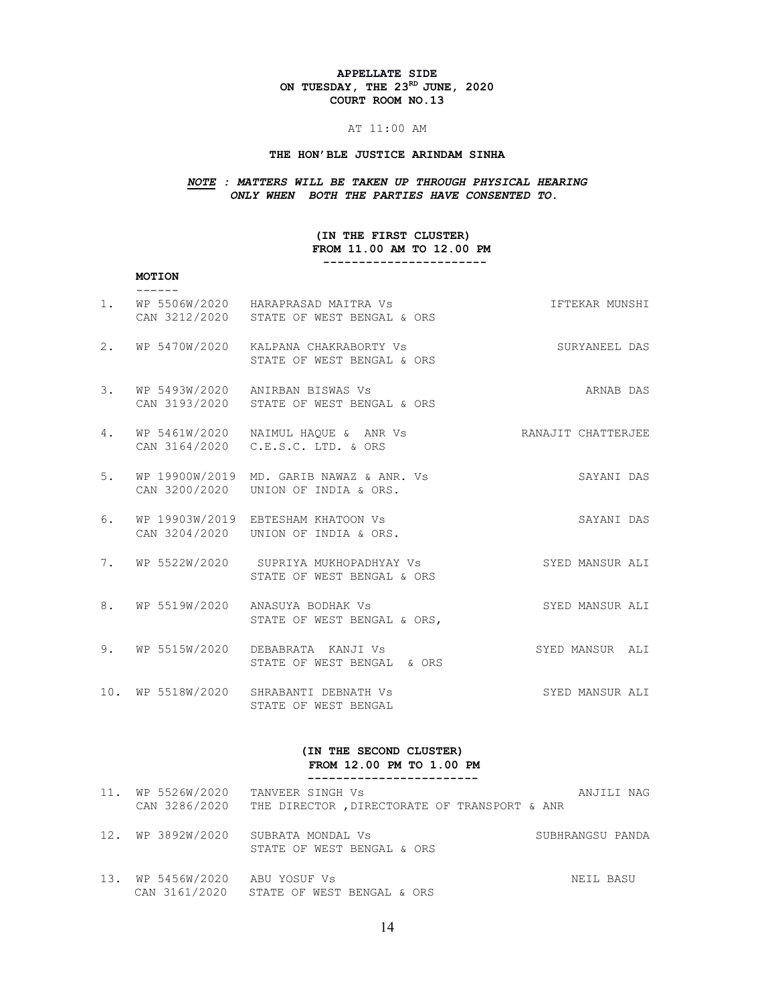#### APPELLATE SIDE ON TUESDAY, THE  $23^{RD}$  JUNE, 2020 COURT ROOM NO.13

## AT 11:00 AM

## THE HON'BLE JUSTICE ARINDAM SINHA

# NOTE : MATTERS WILL BE TAKEN UP THROUGH PHYSICAL HEARING ONLY WHEN BOTH THE PARTIES HAVE CONSENTED TO.

## (IN THE FIRST CLUSTER) FROM 11.00 AM TO 12.00 PM

-----------------------

#### MOTION  $------$

| 1. | WP 5506W/2020 HARAPRASAD MAITRA Vs<br>CAN 3212/2020 STATE OF WEST BENGAL & ORS  | IFTEKAR MUNSHI     |
|----|---------------------------------------------------------------------------------|--------------------|
|    | 2. WP 5470W/2020 KALPANA CHAKRABORTY Vs<br>STATE OF WEST BENGAL & ORS           | SURYANEEL DAS      |
| 3. | WP 5493W/2020 ANIRBAN BISWAS Vs<br>CAN 3193/2020 STATE OF WEST BENGAL & ORS     | ARNAB DAS          |
| 4. | WP 5461W/2020 NAIMUL HAQUE & ANR Vs<br>CAN 3164/2020 C.E.S.C. LTD. & ORS        | RANAJIT CHATTERJEE |
| 5. | WP 19900W/2019 MD. GARIB NAWAZ & ANR. Vs<br>CAN 3200/2020 UNION OF INDIA & ORS. | SAYANI DAS         |
| 6. | WP 19903W/2019 EBTESHAM KHATOON Vs<br>CAN 3204/2020    UNION OF INDIA & ORS.    | SAYANI DAS         |
|    | 7. WP 5522W/2020 SUPRIYA MUKHOPADHYAY Vs<br>STATE OF WEST BENGAL & ORS          | SYED MANSUR ALI    |
|    | 8. WP 5519W/2020 ANASUYA BODHAK Vs<br>STATE OF WEST BENGAL & ORS,               | SYED MANSUR ALI    |
|    | 9. WP 5515W/2020 DEBABRATA KANJI Vs<br>STATE OF WEST BENGAL & ORS               | SYED MANSUR ALI    |
|    | 10. WP 5518W/2020 SHRABANTI DEBNATH Vs<br>STATE OF WEST BENGAL                  | SYED MANSUR ALI    |

#### (IN THE SECOND CLUSTER) FROM 12.00 PM TO 1.00 PM ------------------------

| 11. WP 5526W/2020              | TANVEER SINGH Vs<br>CAN 3286/2020 THE DIRECTOR, DIRECTORATE OF TRANSPORT & ANR | ANJILI NAG       |
|--------------------------------|--------------------------------------------------------------------------------|------------------|
|                                | 12. WP 3892W/2020 SUBRATA MONDAL Vs<br>STATE OF WEST BENGAL & ORS              | SUBHRANGSU PANDA |
| 13. WP 5456W/2020 ABU YOSUF Vs | CAN 3161/2020 STATE OF WEST BENGAL & ORS                                       | NEIL BASU        |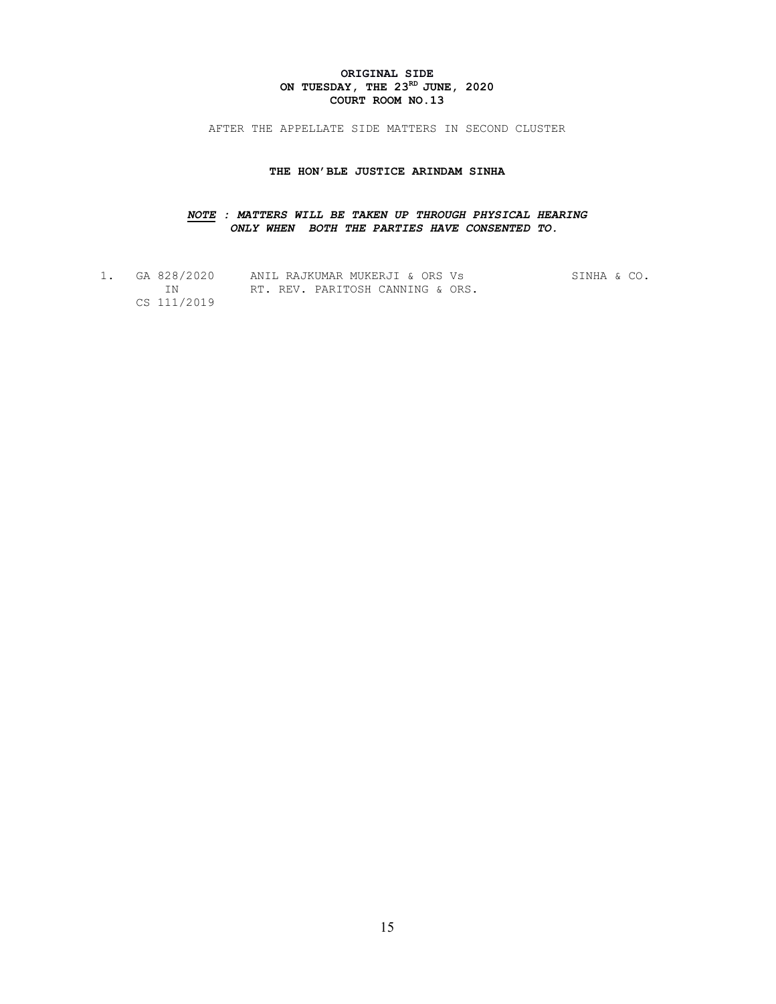## ORIGINAL SIDE ON TUESDAY, THE  $23^{RD}$  JUNE, 2020 COURT ROOM NO.13

AFTER THE APPELLATE SIDE MATTERS IN SECOND CLUSTER

#### THE HON'BLE JUSTICE ARINDAM SINHA

## NOTE : MATTERS WILL BE TAKEN UP THROUGH PHYSICAL HEARING ONLY WHEN BOTH THE PARTIES HAVE CONSENTED TO.

| GA 828/2020 | ANIL RAJKUMAR MUKERJI & ORS Vs   | SINHA & CO. |  |
|-------------|----------------------------------|-------------|--|
|             | RT. REV. PARITOSH CANNING & ORS. |             |  |
| CS 111/2019 |                                  |             |  |